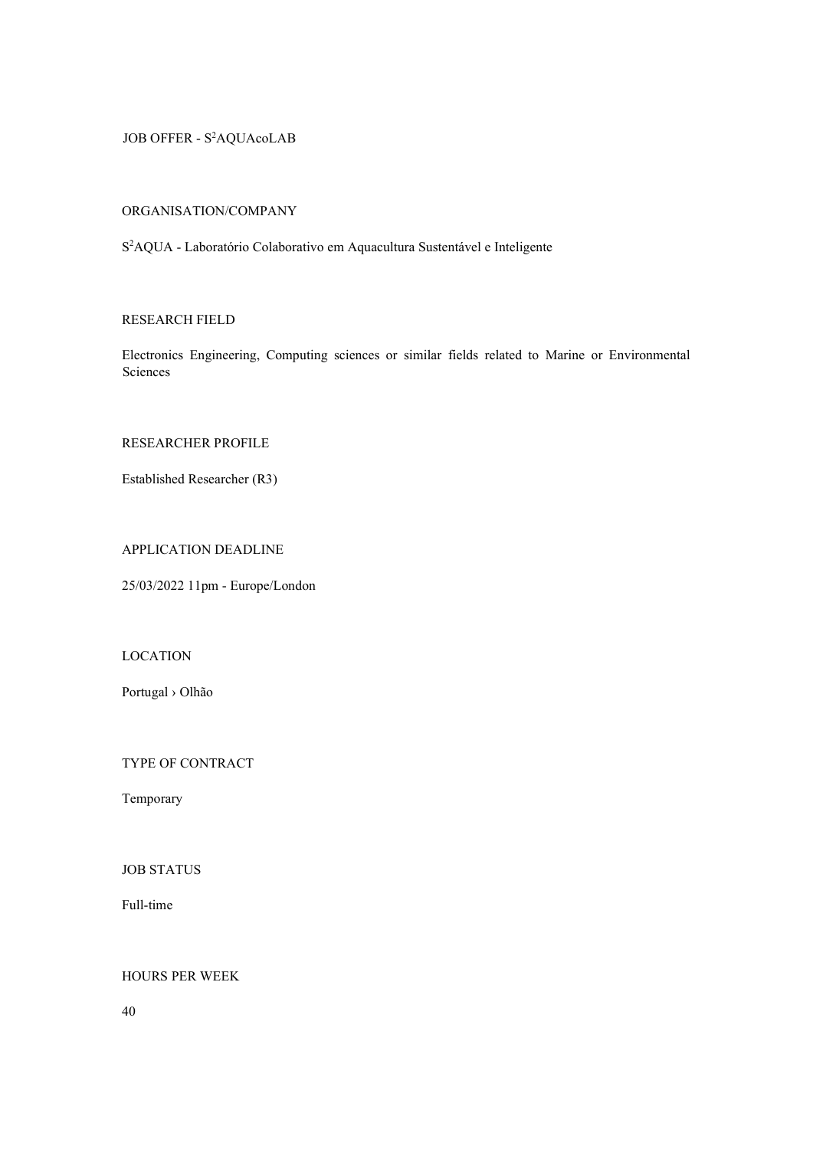JOB OFFER - S<sup>2</sup>AQUAcoLAB

# ORGANISATION/COMPANY

S <sup>2</sup>AQUA - Laboratório Colaborativo em Aquacultura Sustentável e Inteligente

# RESEARCH FIELD

Electronics Engineering, Computing sciences or similar fields related to Marine or Environmental Sciences

# RESEARCHER PROFILE

Established Researcher (R3)

# APPLICATION DEADLINE

25/03/2022 11pm - Europe/London

# LOCATION

Portugal › Olhão

TYPE OF CONTRACT

Temporary

JOB STATUS

Full-time

# HOURS PER WEEK

40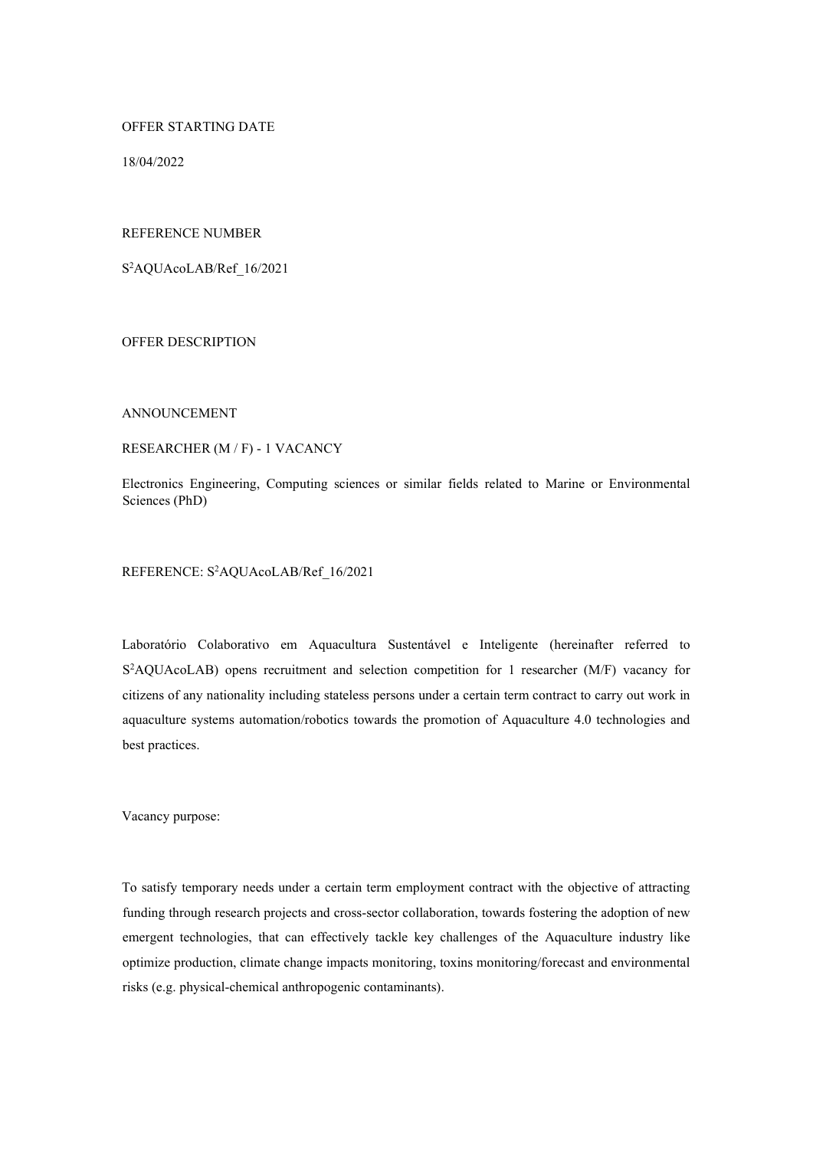OFFER STARTING DATE

18/04/2022

### REFERENCE NUMBER

S <sup>2</sup>AQUAcoLAB/Ref\_16/2021

OFFER DESCRIPTION

#### ANNOUNCEMENT

### RESEARCHER (M / F) - 1 VACANCY

Electronics Engineering, Computing sciences or similar fields related to Marine or Environmental Sciences (PhD)

REFERENCE: S<sup>2</sup>AQUAcoLAB/Ref 16/2021

Laboratório Colaborativo em Aquacultura Sustentável e Inteligente (hereinafter referred to S<sup>2</sup>AQUAcoLAB) opens recruitment and selection competition for 1 researcher (M/F) vacancy for citizens of any nationality including stateless persons under a certain term contract to carry out work in aquaculture systems automation/robotics towards the promotion of Aquaculture 4.0 technologies and best practices.

Vacancy purpose:

To satisfy temporary needs under a certain term employment contract with the objective of attracting funding through research projects and cross-sector collaboration, towards fostering the adoption of new emergent technologies, that can effectively tackle key challenges of the Aquaculture industry like optimize production, climate change impacts monitoring, toxins monitoring/forecast and environmental risks (e.g. physical-chemical anthropogenic contaminants).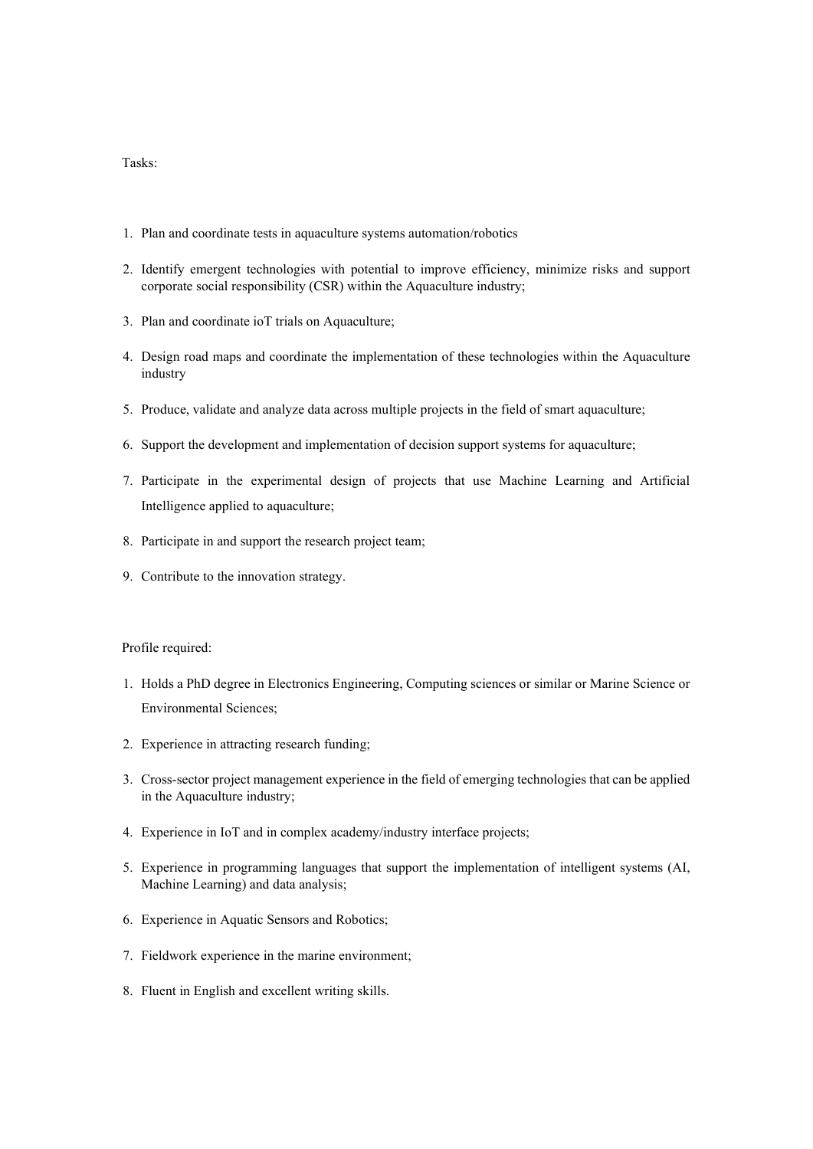### Tasks:

- 1. Plan and coordinate tests in aquaculture systems automation/robotics
- 2. Identify emergent technologies with potential to improve efficiency, minimize risks and support corporate social responsibility (CSR) within the Aquaculture industry;
- 3. Plan and coordinate ioT trials on Aquaculture;
- 4. Design road maps and coordinate the implementation of these technologies within the Aquaculture industry
- 5. Produce, validate and analyze data across multiple projects in the field of smart aquaculture;
- 6. Support the development and implementation of decision support systems for aquaculture;
- 7. Participate in the experimental design of projects that use Machine Learning and Artificial Intelligence applied to aquaculture;
- 8. Participate in and support the research project team;
- 9. Contribute to the innovation strategy.

#### Profile required:

- 1. Holds a PhD degree in Electronics Engineering, Computing sciences or similar or Marine Science or Environmental Sciences;
- 2. Experience in attracting research funding;
- 3. Cross-sector project management experience in the field of emerging technologies that can be applied in the Aquaculture industry;
- 4. Experience in IoT and in complex academy/industry interface projects;
- 5. Experience in programming languages that support the implementation of intelligent systems (AI, Machine Learning) and data analysis;
- 6. Experience in Aquatic Sensors and Robotics;
- 7. Fieldwork experience in the marine environment;
- 8. Fluent in English and excellent writing skills.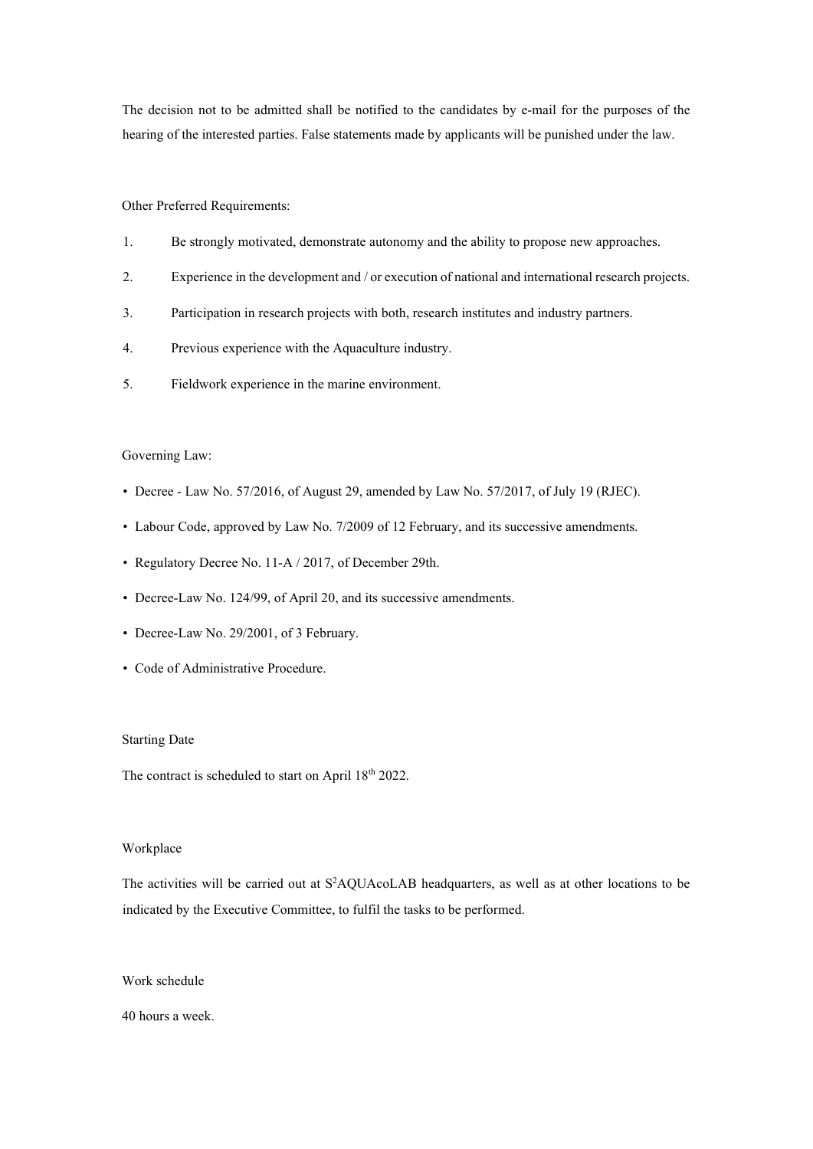The decision not to be admitted shall be notified to the candidates by e-mail for the purposes of the hearing of the interested parties. False statements made by applicants will be punished under the law.

#### Other Preferred Requirements:

- 1. Be strongly motivated, demonstrate autonomy and the ability to propose new approaches.
- 2. Experience in the development and / or execution of national and international research projects.
- 3. Participation in research projects with both, research institutes and industry partners.
- 4. Previous experience with the Aquaculture industry.
- 5. Fieldwork experience in the marine environment.

#### Governing Law:

- Decree Law No. 57/2016, of August 29, amended by Law No. 57/2017, of July 19 (RJEC).
- Labour Code, approved by Law No. 7/2009 of 12 February, and its successive amendments.
- Regulatory Decree No. 11-A / 2017, of December 29th.
- Decree-Law No. 124/99, of April 20, and its successive amendments.
- Decree-Law No. 29/2001, of 3 February.
- Code of Administrative Procedure.

#### Starting Date

The contract is scheduled to start on April 18<sup>th</sup> 2022.

#### Workplace

The activities will be carried out at S<sup>2</sup>AQUAcoLAB headquarters, as well as at other locations to be indicated by the Executive Committee, to fulfil the tasks to be performed.

#### Work schedule

40 hours a week.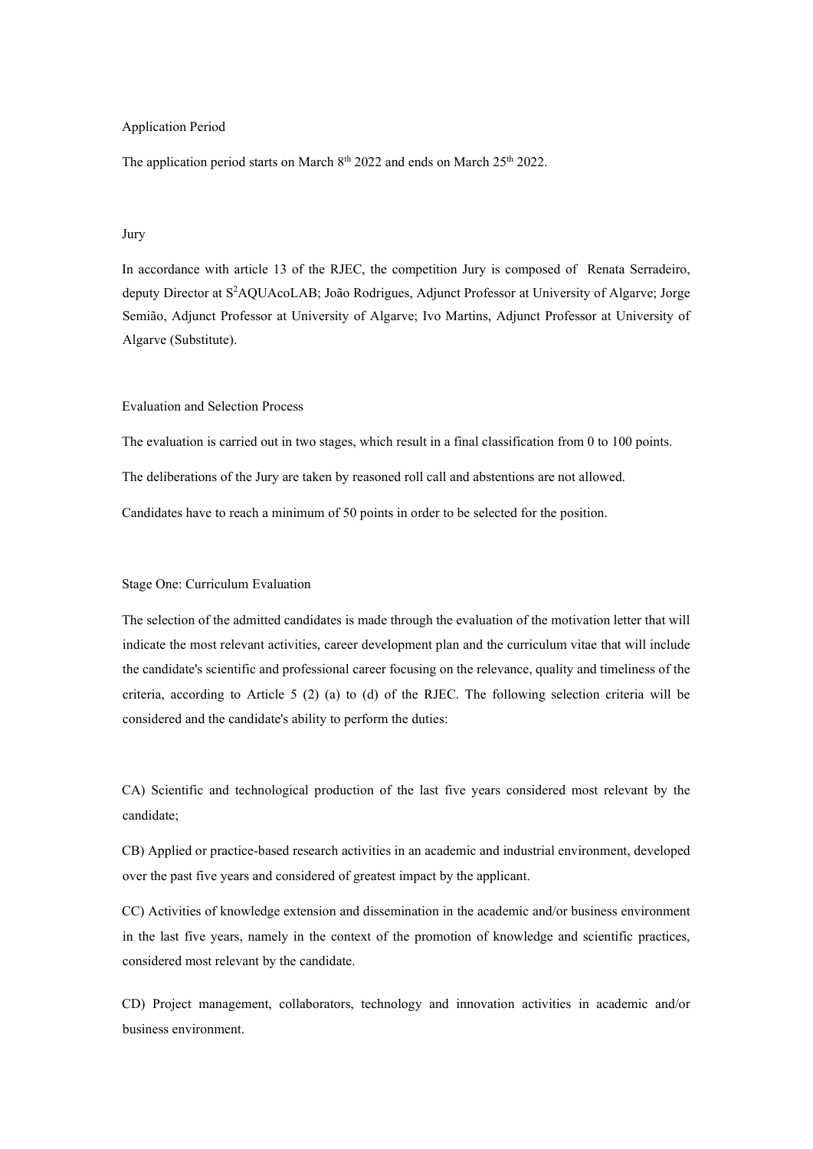### Application Period

The application period starts on March  $8<sup>th</sup> 2022$  and ends on March  $25<sup>th</sup> 2022$ .

### Jury

In accordance with article 13 of the RJEC, the competition Jury is composed of Renata Serradeiro, deputy Director at S<sup>2</sup>AQUAcoLAB; João Rodrigues, Adjunct Professor at University of Algarve; Jorge Semião, Adjunct Professor at University of Algarve; Ivo Martins, Adjunct Professor at University of Algarve (Substitute).

### Evaluation and Selection Process

The evaluation is carried out in two stages, which result in a final classification from 0 to 100 points. The deliberations of the Jury are taken by reasoned roll call and abstentions are not allowed. Candidates have to reach a minimum of 50 points in order to be selected for the position.

#### Stage One: Curriculum Evaluation

The selection of the admitted candidates is made through the evaluation of the motivation letter that will indicate the most relevant activities, career development plan and the curriculum vitae that will include the candidate's scientific and professional career focusing on the relevance, quality and timeliness of the criteria, according to Article 5 (2) (a) to (d) of the RJEC. The following selection criteria will be considered and the candidate's ability to perform the duties:

CA) Scientific and technological production of the last five years considered most relevant by the candidate;

CB) Applied or practice-based research activities in an academic and industrial environment, developed over the past five years and considered of greatest impact by the applicant.

CC) Activities of knowledge extension and dissemination in the academic and/or business environment in the last five years, namely in the context of the promotion of knowledge and scientific practices, considered most relevant by the candidate.

CD) Project management, collaborators, technology and innovation activities in academic and/or business environment.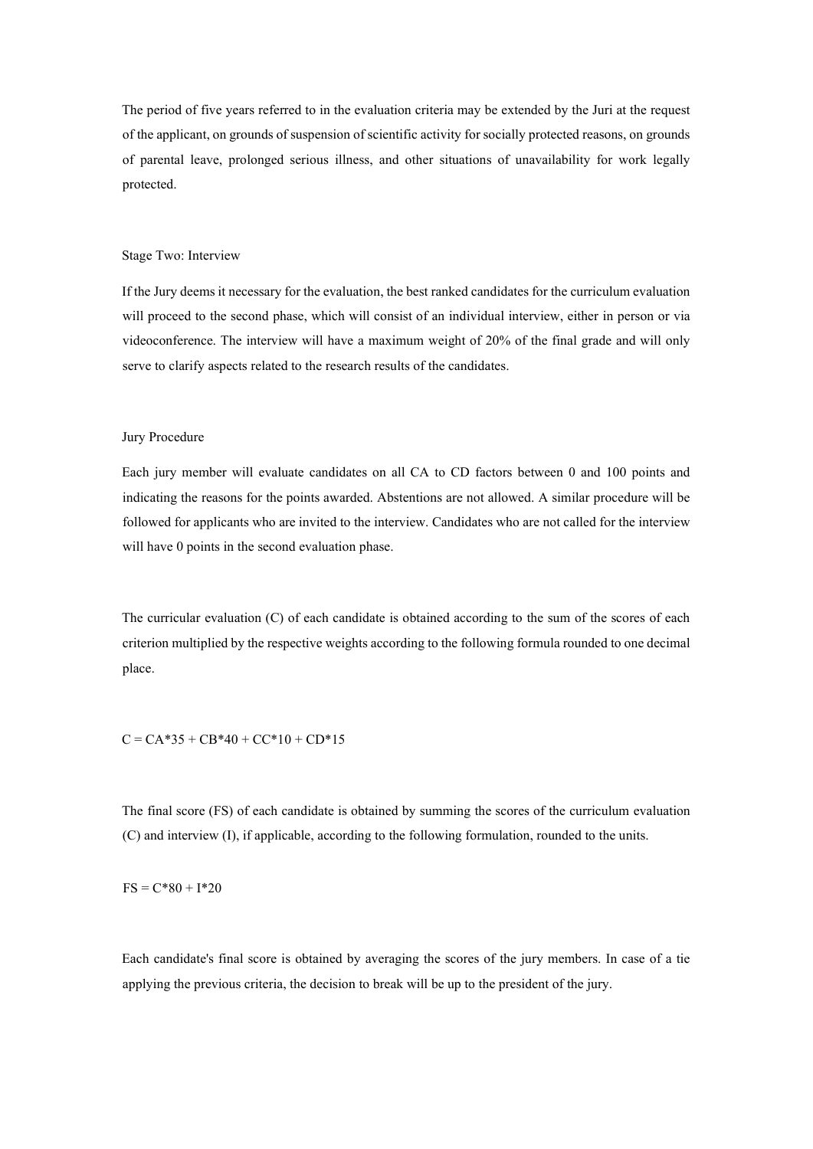The period of five years referred to in the evaluation criteria may be extended by the Juri at the request of the applicant, on grounds of suspension of scientific activity for socially protected reasons, on grounds of parental leave, prolonged serious illness, and other situations of unavailability for work legally protected.

#### Stage Two: Interview

If the Jury deems it necessary for the evaluation, the best ranked candidates for the curriculum evaluation will proceed to the second phase, which will consist of an individual interview, either in person or via videoconference. The interview will have a maximum weight of 20% of the final grade and will only serve to clarify aspects related to the research results of the candidates.

#### Jury Procedure

Each jury member will evaluate candidates on all CA to CD factors between 0 and 100 points and indicating the reasons for the points awarded. Abstentions are not allowed. A similar procedure will be followed for applicants who are invited to the interview. Candidates who are not called for the interview will have 0 points in the second evaluation phase.

The curricular evaluation (C) of each candidate is obtained according to the sum of the scores of each criterion multiplied by the respective weights according to the following formula rounded to one decimal place.

 $C = CA*35 + CB*40 + CC*10 + CD*15$ 

The final score (FS) of each candidate is obtained by summing the scores of the curriculum evaluation (C) and interview (I), if applicable, according to the following formulation, rounded to the units.

 $FS = C*80 + I*20$ 

Each candidate's final score is obtained by averaging the scores of the jury members. In case of a tie applying the previous criteria, the decision to break will be up to the president of the jury.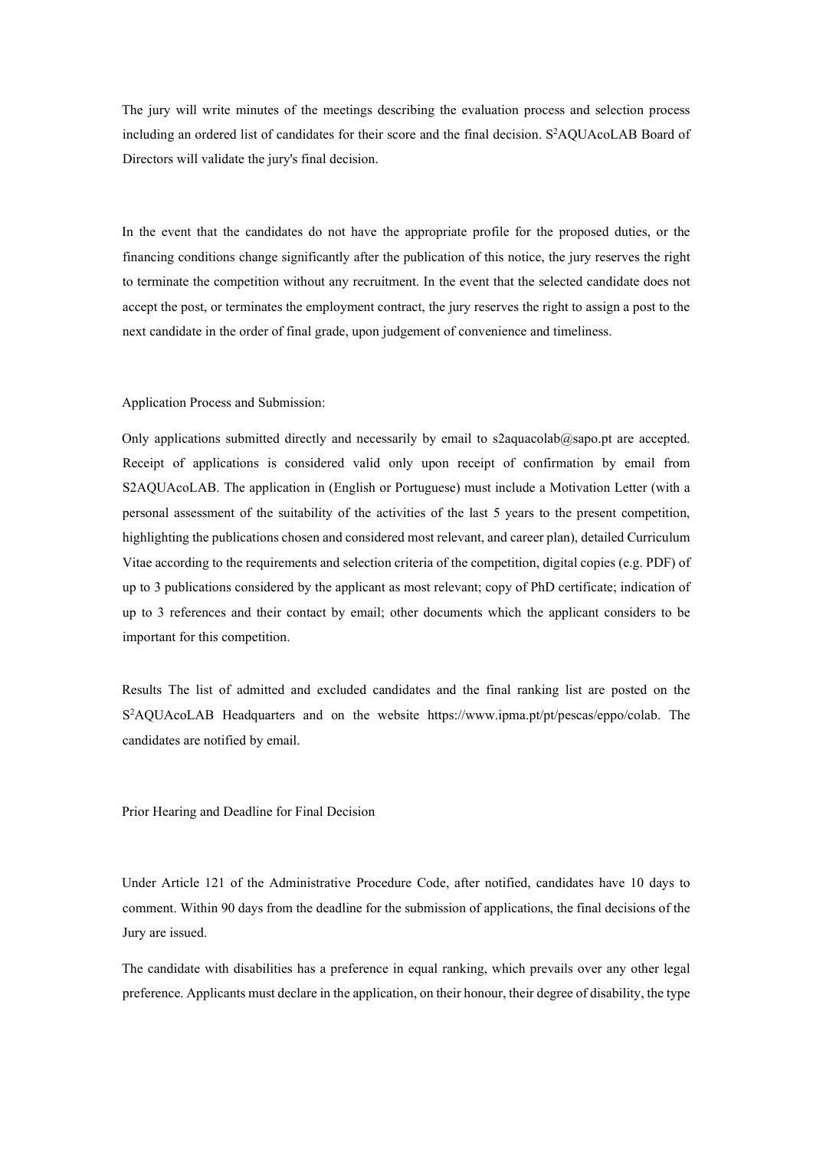The jury will write minutes of the meetings describing the evaluation process and selection process including an ordered list of candidates for their score and the final decision. S<sup>2</sup>AQUAcoLAB Board of Directors will validate the jury's final decision.

In the event that the candidates do not have the appropriate profile for the proposed duties, or the financing conditions change significantly after the publication of this notice, the jury reserves the right to terminate the competition without any recruitment. In the event that the selected candidate does not accept the post, or terminates the employment contract, the jury reserves the right to assign a post to the next candidate in the order of final grade, upon judgement of convenience and timeliness.

#### Application Process and Submission:

Only applications submitted directly and necessarily by email to s2aquacolab@sapo.pt are accepted. Receipt of applications is considered valid only upon receipt of confirmation by email from S2AQUAcoLAB. The application in (English or Portuguese) must include a Motivation Letter (with a personal assessment of the suitability of the activities of the last 5 years to the present competition, highlighting the publications chosen and considered most relevant, and career plan), detailed Curriculum Vitae according to the requirements and selection criteria of the competition, digital copies (e.g. PDF) of up to 3 publications considered by the applicant as most relevant; copy of PhD certificate; indication of up to 3 references and their contact by email; other documents which the applicant considers to be important for this competition.

Results The list of admitted and excluded candidates and the final ranking list are posted on the S<sup>2</sup>AQUAcoLAB Headquarters and on the website https://www.ipma.pt/pt/pescas/eppo/colab. The candidates are notified by email.

Prior Hearing and Deadline for Final Decision

Under Article 121 of the Administrative Procedure Code, after notified, candidates have 10 days to comment. Within 90 days from the deadline for the submission of applications, the final decisions of the Jury are issued.

The candidate with disabilities has a preference in equal ranking, which prevails over any other legal preference. Applicants must declare in the application, on their honour, their degree of disability, the type